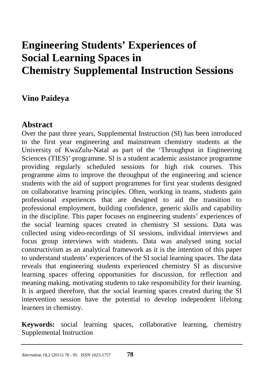# **Engineering Students' Experiences of Social Learning Spaces in Chemistry Supplemental Instruction Sessions**

## **Vino Paideya**

## **Abstract**

Over the past three years, Supplemental Instruction (SI) has been introduced to the first year engineering and mainstream chemistry students at the University of KwaZulu-Natal as part of the 'Throughput in Engineering Sciences (TIES)' programme. SI is a student academic assistance programme providing regularly scheduled sessions for high risk courses. This programme aims to improve the throughput of the engineering and science students with the aid of support programmes for first year students designed on collaborative learning principles. Often, working in teams, students gain professional experiences that are designed to aid the transition to professional employment, building confidence, generic skills and capability in the discipline. This paper focuses on engineering students' experiences of the social learning spaces created in chemistry SI sessions. Data was collected using video-recordings of SI sessions, individual interviews and focus group interviews with students. Data was analysed using social constructivism as an analytical framework as it is the intention of this paper to understand students' experiences of the SI social learning spaces. The data reveals that engineering students experienced chemistry SI as discursive learning spaces offering opportunities for discussion, for reflection and meaning making, motivating students to take responsibility for their learning. It is argued therefore, that the social learning spaces created during the SI intervention session have the potential to develop independent lifelong learners in chemistry.

**Keywords:** social learning spaces, collaborative learning, chemistry Supplemental Instruction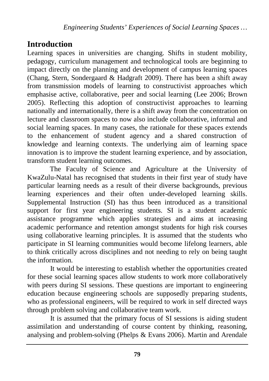# **Introduction**

Learning spaces in universities are changing. Shifts in student mobility, pedagogy, curriculum management and technological tools are beginning to impact directly on the planning and development of campus learning spaces (Chang, Stern, Sondergaard & Hadgraft 2009). There has been a shift away from transmission models of learning to constructivist approaches which emphasise active, collaborative, peer and social learning (Lee 2006; Brown 2005). Reflecting this adoption of constructivist approaches to learning nationally and internationally, there is a shift away from the concentration on lecture and classroom spaces to now also include collaborative, informal and social learning spaces. In many cases, the rationale for these spaces extends to the enhancement of student agency and a shared construction of knowledge and learning contexts. The underlying aim of learning space innovation is to improve the student learning experience, and by association, transform student learning outcomes.

The Faculty of Science and Agriculture at the University of KwaZulu-Natal has recognised that students in their first year of study have particular learning needs as a result of their diverse backgrounds, previous learning experiences and their often under-developed learning skills. Supplemental Instruction (SI) has thus been introduced as a transitional support for first year engineering students. SI is a student academic assistance programme which applies strategies and aims at increasing academic performance and retention amongst students for high risk courses using collaborative learning principles. It is assumed that the students who participate in SI learning communities would become lifelong learners, able to think critically across disciplines and not needing to rely on being taught the information.

It would be interesting to establish whether the opportunities created for these social learning spaces allow students to work more collaboratively with peers during SI sessions. These questions are important to engineering education because engineering schools are supposedly preparing students, who as professional engineers, will be required to work in self directed ways through problem solving and collaborative team work.

It is assumed that the primary focus of SI sessions is aiding student assimilation and understanding of course content by thinking, reasoning, analysing and problem-solving (Phelps & Evans 2006). Martin and Arendale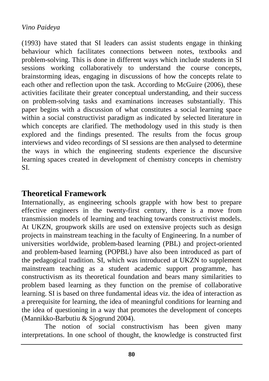(1993) have stated that SI leaders can assist students engage in thinking behaviour which facilitates connections between notes, textbooks and problem-solving. This is done in different ways which include students in SI sessions working collaboratively to understand the course concepts, brainstorming ideas, engaging in discussions of how the concepts relate to each other and reflection upon the task. According to McGuire (2006), these activities facilitate their greater conceptual understanding, and their success on problem-solving tasks and examinations increases substantially. This paper begins with a discussion of what constitutes a social learning space within a social constructivist paradigm as indicated by selected literature in which concepts are clarified. The methodology used in this study is then explored and the findings presented. The results from the focus group interviews and video recordings of SI sessions are then analysed to determine the ways in which the engineering students experience the discursive learning spaces created in development of chemistry concepts in chemistry SI.

## **Theoretical Framework**

Internationally, as engineering schools grapple with how best to prepare effective engineers in the twenty-first century, there is a move from transmission models of learning and teaching towards constructivist models. At UKZN, groupwork skills are used on extensive projects such as design projects in mainstream teaching in the faculty of Engineering. In a number of universities worldwide, problem-based learning (PBL) and project-oriented and problem-based learning (POPBL) have also been introduced as part of the pedagogical tradition. SI, which was introduced at UKZN to supplement mainstream teaching as a student academic support programme, has constructivism as its theoretical foundation and bears many similarities to problem based learning as they function on the premise of collaborative learning. SI is based on three fundamental ideas viz. the idea of interaction as a prerequisite for learning, the idea of meaningful conditions for learning and the idea of questioning in a way that promotes the development of concepts (Mannikko-Barbutiu & Sjogrund 2004).

The notion of social constructivism has been given many interpretations. In one school of thought, the knowledge is constructed first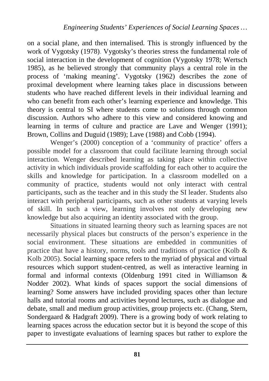on a social plane, and then internalised. This is strongly influenced by the work of Vygotsky (1978). Vygotsky's theories stress the fundamental role of social interaction in the development of cognition (Vygotsky 1978; Wertsch 1985), as he believed strongly that community plays a central role in the process of 'making meaning'. Vygotsky (1962) describes the zone of proximal development where learning takes place in discussions between students who have reached different levels in their individual learning and who can benefit from each other's learning experience and knowledge. This theory is central to SI where students come to solutions through common discussion. Authors who adhere to this view and considered knowing and learning in terms of culture and practice are Lave and Wenger (1991); Brown, Collins and Duguid (1989); Lave (1988) and Cobb (1994).

Wenger's (2000) conception of a 'community of practice' offers a possible model for a classroom that could facilitate learning through social interaction. Wenger described learning as taking place within collective activity in which individuals provide scaffolding for each other to acquire the skills and knowledge for participation. In a classroom modelled on a community of practice, students would not only interact with central participants, such as the teacher and in this study the SI leader. Students also interact with peripheral participants, such as other students at varying levels of skill. In such a view, learning involves not only developing new knowledge but also acquiring an identity associated with the group.

Situations in situated learning theory such as learning spaces are not necessarily physical places but constructs of the person's experience in the social environment. These situations are embedded in communities of practice that have a history, norms, tools and traditions of practice (Kolb  $\&$ Kolb 2005). Social learning space refers to the myriad of physical and virtual resources which support student-centred, as well as interactive learning in formal and informal contexts (Oldenburg 1991 cited in Williamson & Nodder 2002). What kinds of spaces support the social dimensions of learning? Some answers have included providing spaces other than lecture halls and tutorial rooms and activities beyond lectures, such as dialogue and debate, small and medium group activities, group projects etc. (Chang, Stern, Sondergaard & Hadgraft 2009). There is a growing body of work relating to learning spaces across the education sector but it is beyond the scope of this paper to investigate evaluations of learning spaces but rather to explore the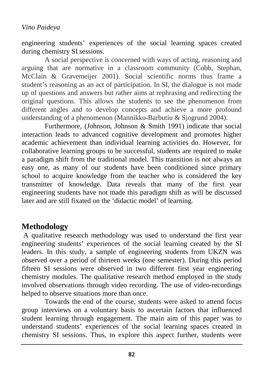engineering students' experiences of the social learning spaces created during chemistry SI sessions.

A social perspective is concerned with ways of acting, reasoning and arguing that are normative in a classroom community (Cobb, Stephan, McClain & Gravemeijer 2001). Social scientific norms thus frame a student's reasoning as an act of participation. In SI, the dialogue is not made up of questions and answers but rather aims at rephrasing and redirecting the original questions. This allows the students to see the phenomenon from different angles and to develop concepts and achieve a more profound understanding of a phenomenon (Mannikko-Barbutiu & Sjogrund 2004).

Furthermore, (Johnson, Johnson & Smith 1991) indicate that social interaction leads to advanced cognitive development and promotes higher academic achievement than individual learning activities do. However, for collaborative learning groups to be successful, students are required to make a paradigm shift from the traditional model. This transition is not always an easy one, as many of our students have been conditioned since primary school to acquire knowledge from the teacher who is considered the key transmitter of knowledge. Data reveals that many of the first year engineering students have not made this paradigm shift as will be discussed later and are still fixated on the 'didactic model' of learning.

## **Methodology**

A qualitative research methodology was used to understand the first year engineering students' experiences of the social learning created by the SI leaders. In this study, a sample of engineering students from UKZN was observed over a period of thirteen weeks (one semester). During this period fifteen SI sessions were observed in two different first year engineering chemistry modules. The qualitative research method employed in the study involved observations through video recording. The use of video-recordings helped to observe situations more than once.

Towards the end of the course, students were asked to attend focus group interviews on a voluntary basis to ascertain factors that influenced student learning through engagement. The main aim of this paper was to understand students' experiences of the social learning spaces created in chemistry SI sessions. Thus, to explore this aspect further, students were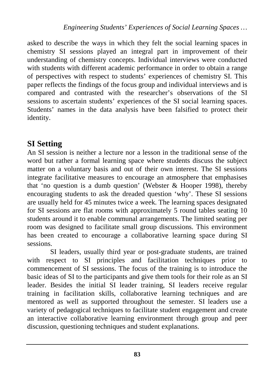asked to describe the ways in which they felt the social learning spaces in chemistry SI sessions played an integral part in improvement of their understanding of chemistry concepts. Individual interviews were conducted with students with different academic performance in order to obtain a range of perspectives with respect to students' experiences of chemistry SI. This paper reflects the findings of the focus group and individual interviews and is compared and contrasted with the researcher's observations of the SI sessions to ascertain students' experiences of the SI social learning spaces. Students' names in the data analysis have been falsified to protect their identity.

## **SI Setting**

An SI session is neither a lecture nor a lesson in the traditional sense of the word but rather a formal learning space where students discuss the subject matter on a voluntary basis and out of their own interest. The SI sessions integrate facilitative measures to encourage an atmosphere that emphasises that 'no question is a dumb question' (Webster & Hooper 1998), thereby encouraging students to ask the dreaded question 'why'. These SI sessions are usually held for 45 minutes twice a week. The learning spaces designated for SI sessions are flat rooms with approximately 5 round tables seating 10 students around it to enable communal arrangements. The limited seating per room was designed to facilitate small group discussions. This environment has been created to encourage a collaborative learning space during SI sessions.

SI leaders, usually third year or post-graduate students, are trained with respect to SI principles and facilitation techniques prior to commencement of SI sessions. The focus of the training is to introduce the basic ideas of SI to the participants and give them tools for their role as an SI leader. Besides the initial SI leader training, SI leaders receive regular training in facilitation skills, collaborative learning techniques and are mentored as well as supported throughout the semester. SI leaders use a variety of pedagogical techniques to facilitate student engagement and create an interactive collaborative learning environment through group and peer discussion, questioning techniques and student explanations.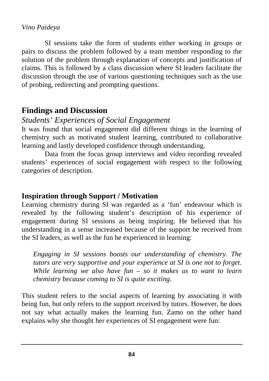SI sessions take the form of students either working in groups or pairs to discuss the problem followed by a team member responding to the solution of the problem through explanation of concepts and justification of claims. This is followed by a class discussion where SI leaders facilitate the discussion through the use of various questioning techniques such as the use of probing, redirecting and prompting questions.

## **Findings and Discussion**

## *Students' Experiences of Social Engagement*

It was found that social engagement did different things in the learning of chemistry such as motivated student learning, contributed to collaborative learning and lastly developed confidence through understanding.

Data from the focus group interviews and video recording revealed students' experiences of social engagement with respect to the following categories of description.

## **Inspiration through Support / Motivation**

Learning chemistry during SI was regarded as a 'fun' endeavour which is revealed by the following student's description of his experience of engagement during SI sessions as being inspiring. He believed that his understanding in a sense increased because of the support he received from the SI leaders, as well as the fun he experienced in learning:

*Engaging in SI sessions boosts our understanding of chemistry. The tutors are very supportive and your experience at SI is one not to forget. While learning we also have fun – so it makes us to want to learn chemistry because coming to SI is quite exciting*.

This student refers to the social aspects of learning by associating it with being fun, but only refers to the support received by tutors. However, he does not say what actually makes the learning fun. Zamo on the other hand explains why she thought her experiences of SI engagement were fun: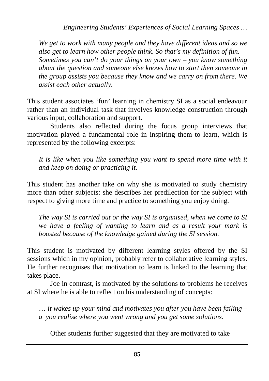*Engineering Students' Experiences of Social Learning Spaces …*

*We get to work with many people and they have different ideas and so we also get to learn how other people think. So that's my definition of fun. Sometimes you can't do your things on your own – you know something about the question and someone else knows how to start then someone in the group assists you because they know and we carry on from there. We assist each other actually.* 

This student associates 'fun' learning in chemistry SI as a social endeavour rather than an individual task that involves knowledge construction through various input, collaboration and support.

Students also reflected during the focus group interviews that motivation played a fundamental role in inspiring them to learn, which is represented by the following excerpts:

*It is like when you like something you want to spend more time with it and keep on doing or practicing it.*

This student has another take on why she is motivated to study chemistry more than other subjects: she describes her predilection for the subject with respect to giving more time and practice to something you enjoy doing.

*The way SI is carried out or the way SI is organised, when we come to SI we have a feeling of wanting to learn and as a result your mark is boosted because of the knowledge gained during the SI session.* 

This student is motivated by different learning styles offered by the SI sessions which in my opinion, probably refer to collaborative learning styles. He further recognises that motivation to learn is linked to the learning that takes place.

Joe in contrast, is motivated by the solutions to problems he receives at SI where he is able to reflect on his understanding of concepts:

… *it wakes up your mind and motivates you after you have been failing – a you realise where you went wrong and you get some solutions*.

Other students further suggested that they are motivated to take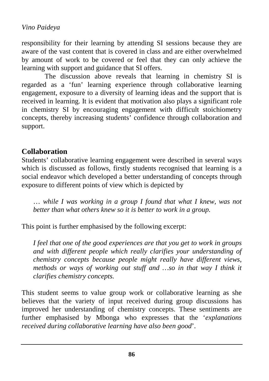responsibility for their learning by attending SI sessions because they are aware of the vast content that is covered in class and are either overwhelmed by amount of work to be covered or feel that they can only achieve the learning with support and guidance that SI offers.

The discussion above reveals that learning in chemistry SI is regarded as a 'fun' learning experience through collaborative learning engagement, exposure to a diversity of learning ideas and the support that is received in learning. It is evident that motivation also plays a significant role in chemistry SI by encouraging engagement with difficult stoichiometry concepts, thereby increasing students' confidence through collaboration and support.

#### **Collaboration**

Students' collaborative learning engagement were described in several ways which is discussed as follows, firstly students recognised that learning is a social endeavor which developed a better understanding of concepts through exposure to different points of view which is depicted by

… *while I was working in a group I found that what I knew, was not better than what others knew so it is better to work in a group.*

This point is further emphasised by the following excerpt:

*I feel that one of the good experiences are that you get to work in groups and with different people which really clarifies your understanding of chemistry concepts because people might really have different views, methods or ways of working out stuff and …so in that way I think it clarifies chemistry concepts.*

This student seems to value group work or collaborative learning as she believes that the variety of input received during group discussions has improved her understanding of chemistry concepts. These sentiments are further emphasised by Mbonga who expresses that the '*explanations received during collaborative learning have also been good*'.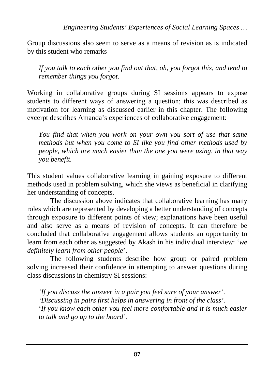Group discussions also seem to serve as a means of revision as is indicated by this student who remarks

*If you talk to each other you find out that, oh, you forgot this, and tend to remember things you forgot*.

Working in collaborative groups during SI sessions appears to expose students to different ways of answering a question; this was described as motivation for learning as discussed earlier in this chapter. The following excerpt describes Amanda's experiences of collaborative engagement:

*You find that when you work on your own you sort of use that same methods but when you come to SI like you find other methods used by people, which are much easier than the one you were using, in that way you benefit.* 

This student values collaborative learning in gaining exposure to different methods used in problem solving, which she views as beneficial in clarifying her understanding of concepts.

The discussion above indicates that collaborative learning has many roles which are represented by developing a better understanding of concepts through exposure to different points of view; explanations have been useful and also serve as a means of revision of concepts. It can therefore be concluded that collaborative engagement allows students an opportunity to learn from each other as suggested by Akash in his individual interview: '*we definitely learn from other people*'.

The following students describe how group or paired problem solving increased their confidence in attempting to answer questions during class discussions in chemistry SI sessions:

*'If you discuss the answer in a pair you feel sure of your answer*'. *'Discussing in pairs first helps in answering in front of the class'.* '*If you know each other you feel more comfortable and it is much easier to talk and go up to the board'.*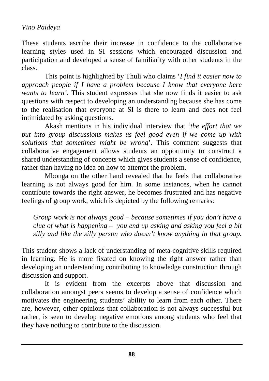These students ascribe their increase in confidence to the collaborative learning styles used in SI sessions which encouraged discussion and participation and developed a sense of familiarity with other students in the class.

This point is highlighted by Thuli who claims '*I find it easier now to approach people if I have a problem because I know that everyone here wants to learn'.* This student expresses that she now finds it easier to ask questions with respect to developing an understanding because she has come to the realisation that everyone at SI is there to learn and does not feel intimidated by asking questions.

Akash mentions in his individual interview that '*the effort that we put into group discussions makes us feel good even if we come up with solutions that sometimes might be wrong*'. This comment suggests that collaborative engagement allows students an opportunity to construct a shared understanding of concepts which gives students a sense of confidence, rather than having no idea on how to attempt the problem.

Mbonga on the other hand revealed that he feels that collaborative learning is not always good for him. In some instances, when he cannot contribute towards the right answer, he becomes frustrated and has negative feelings of group work, which is depicted by the following remarks:

*Group work is not always good – because sometimes if you don't have a clue of what is happening – you end up asking and asking you feel a bit silly and like the silly person who doesn't know anything in that group.* 

This student shows a lack of understanding of meta-cognitive skills required in learning. He is more fixated on knowing the right answer rather than developing an understanding contributing to knowledge construction through discussion and support.

It is evident from the excerpts above that discussion and collaboration amongst peers seems to develop a sense of confidence which motivates the engineering students' ability to learn from each other. There are, however, other opinions that collaboration is not always successful but rather, is seen to develop negative emotions among students who feel that they have nothing to contribute to the discussion.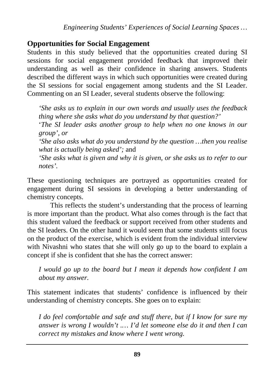## **Opportunities for Social Engagement**

Students in this study believed that the opportunities created during SI sessions for social engagement provided feedback that improved their understanding as well as their confidence in sharing answers. Students described the different ways in which such opportunities were created during the SI sessions for social engagement among students and the SI Leader. Commenting on an SI Leader, several students observe the following:

*'She asks us to explain in our own words and usually uses the feedback thing where she asks what do you understand by that question?'*

'*The SI leader asks another group to help when no one knows in our group', or* 

*'She also asks what do you understand by the question …then you realise what is actually being asked';* and

*'She asks what is given and why it is given, or she asks us to refer to our notes'.*

These questioning techniques are portrayed as opportunities created for engagement during SI sessions in developing a better understanding of chemistry concepts.

This reflects the student's understanding that the process of learning is more important than the product. What also comes through is the fact that this student valued the feedback or support received from other students and the SI leaders. On the other hand it would seem that some students still focus on the product of the exercise, which is evident from the individual interview with Nivashni who states that she will only go up to the board to explain a concept if she is confident that she has the correct answer:

*I would go up to the board but I mean it depends how confident I am about my answer.*

This statement indicates that students' confidence is influenced by their understanding of chemistry concepts. She goes on to explain:

*I do feel comfortable and safe and stuff there, but if I know for sure my answer is wrong I wouldn't .… I'd let someone else do it and then I can correct my mistakes and know where I went wrong.*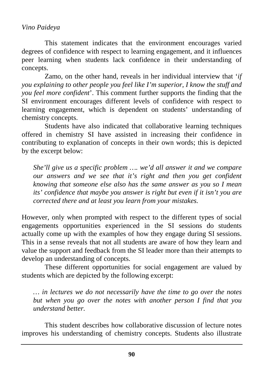This statement indicates that the environment encourages varied degrees of confidence with respect to learning engagement, and it influences peer learning when students lack confidence in their understanding of concepts.

Zamo, on the other hand, reveals in her individual interview that '*if you explaining to other people you feel like I'm superior, I know the stuff and you feel more confident*'. This comment further supports the finding that the SI environment encourages different levels of confidence with respect to learning engagement, which is dependent on students' understanding of chemistry concepts.

Students have also indicated that collaborative learning techniques offered in chemistry SI have assisted in increasing their confidence in contributing to explanation of concepts in their own words; this is depicted by the excerpt below:

*She'll give us a specific problem …. we'd all answer it and we compare our answers and we see that it's right and then you get confident knowing that someone else also has the same answer as you so I mean its' confidence that maybe you answer is right but even if it isn't you are corrected there and at least you learn from your mistakes.*

However, only when prompted with respect to the different types of social engagements opportunities experienced in the SI sessions do students actually come up with the examples of how they engage during SI sessions. This in a sense reveals that not all students are aware of how they learn and value the support and feedback from the SI leader more than their attempts to develop an understanding of concepts.

These different opportunities for social engagement are valued by students which are depicted by the following excerpt:

*… in lectures we do not necessarily have the time to go over the notes but when you go over the notes with another person I find that you understand better.*

This student describes how collaborative discussion of lecture notes improves his understanding of chemistry concepts. Students also illustrate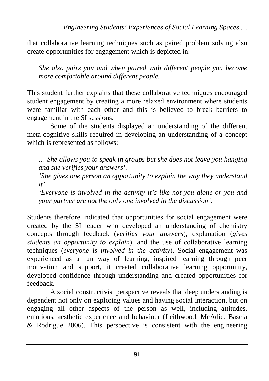that collaborative learning techniques such as paired problem solving also create opportunities for engagement which is depicted in:

*She also pairs you and when paired with different people you become more comfortable around different people.* 

This student further explains that these collaborative techniques encouraged student engagement by creating a more relaxed environment where students were familiar with each other and this is believed to break barriers to engagement in the SI sessions.

Some of the students displayed an understanding of the different meta-cognitive skills required in developing an understanding of a concept which is represented as follows:

*… She allows you to speak in groups but she does not leave you hanging and she verifies your answers'.*

*'She gives one person an opportunity to explain the way they understand it'.*

*'Everyone is involved in the activity it's like not you alone or you and your partner are not the only one involved in the discussion'.* 

Students therefore indicated that opportunities for social engagement were created by the SI leader who developed an understanding of chemistry concepts through feedback (*verifies your answers*), explanation (*gives students an opportunity to explain*), and the use of collaborative learning techniques (*everyone is involved in the activity*). Social engagement was experienced as a fun way of learning, inspired learning through peer motivation and support, it created collaborative learning opportunity, developed confidence through understanding and created opportunities for feedback.

A social constructivist perspective reveals that deep understanding is dependent not only on exploring values and having social interaction, but on engaging all other aspects of the person as well, including attitudes, emotions, aesthetic experience and behaviour (Leithwood, McAdie, Bascia & Rodrigue 2006). This perspective is consistent with the engineering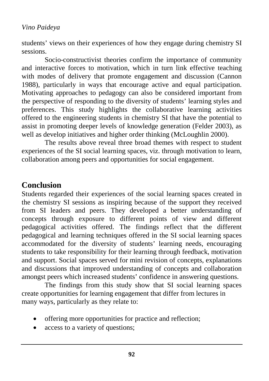students' views on their experiences of how they engage during chemistry SI sessions.

Socio-constructivist theories confirm the importance of community and interactive forces to motivation, which in turn link effective teaching with modes of delivery that promote engagement and discussion (Cannon 1988), particularly in ways that encourage active and equal participation. Motivating approaches to pedagogy can also be considered important from the perspective of responding to the diversity of students' learning styles and preferences. This study highlights the collaborative learning activities offered to the engineering students in chemistry SI that have the potential to assist in promoting deeper levels of knowledge generation (Felder 2003), as well as develop initiatives and higher order thinking (McLoughlin 2000).

The results above reveal three broad themes with respect to student experiences of the SI social learning spaces, viz. through motivation to learn, collaboration among peers and opportunities for social engagement.

## **Conclusion**

Students regarded their experiences of the social learning spaces created in the chemistry SI sessions as inspiring because of the support they received from SI leaders and peers. They developed a better understanding of concepts through exposure to different points of view and different pedagogical activities offered. The findings reflect that the different pedagogical and learning techniques offered in the SI social learning spaces accommodated for the diversity of students' learning needs, encouraging students to take responsibility for their learning through feedback, motivation and support. Social spaces served for mini revision of concepts, explanations and discussions that improved understanding of concepts and collaboration amongst peers which increased students' confidence in answering questions.

The findings from this study show that SI social learning spaces create opportunities for learning engagement that differ from lectures in many ways, particularly as they relate to:

- offering more opportunities for practice and reflection;
- access to a variety of questions: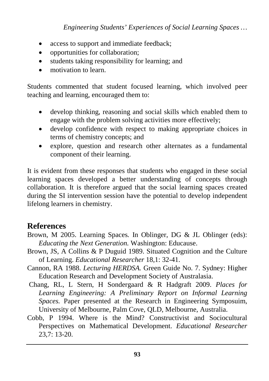*Engineering Students' Experiences of Social Learning Spaces …*

- access to support and immediate feedback;
- opportunities for collaboration;
- students taking responsibility for learning; and
- motivation to learn

Students commented that student focused learning, which involved peer teaching and learning, encouraged them to:

- develop thinking, reasoning and social skills which enabled them to engage with the problem solving activities more effectively;
- develop confidence with respect to making appropriate choices in terms of chemistry concepts; and
- explore, question and research other alternates as a fundamental component of their learning.

It is evident from these responses that students who engaged in these social learning spaces developed a better understanding of concepts through collaboration. It is therefore argued that the social learning spaces created during the SI intervention session have the potential to develop independent lifelong learners in chemistry.

## **References**

- Brown, M 2005. Learning Spaces*.* In Oblinger, DG & JL Oblinger (eds): *Educating the Next Generation.* Washington: Educause.
- Brown, JS, A Collins & P Duguid 1989. Situated Cognition and the Culture of Learning. *Educational Researcher* 18,1: 32-41.
- Cannon, RA 1988. *Lecturing HERDSA.* Green Guide No. 7. Sydney: Higher Education Research and Development Society of Australasia.
- Chang, RL, L Stern, H Sondergaard & R Hadgraft 2009. *Places for Learning Engineering: A Preliminary Report on Informal Learning Spaces.* Paper presented at the Research in Engineering Symposuim, University of Melbourne, Palm Cove, QLD, Melbourne, Australia.
- Cobb, P 1994. Where is the Mind? Constructivist and Sociocultural Perspectives on Mathematical Development. *Educational Researcher*  23,7: 13-20.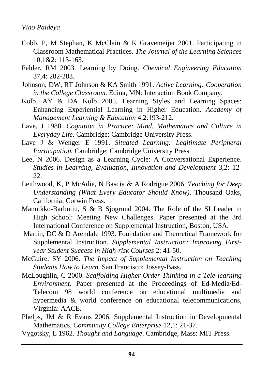- Cobb, P, M Stephan, K McClain & K Gravemeijer 2001. Participating in Classroom Mathematical Practices*. The Journal of the Learning Sciences*  10,1&2: 113-163.
- Felder, RM 2003. Learning by Doing. *Chemical Engineering Education* 37,4: 282-283.
- Johnson, DW, RT Johnson & KA Smith 1991. *Active Learning: Cooperation in the College Classroom*. Edina, MN: Interaction Book Company.
- Kolb, AY & DA Kolb 2005. Learning Styles and Learning Spaces: Enhancing Experiential Learning in Higher Education. *Academy of Management Learning & Education* 4,2:193-212.
- Lave, J 1988. *Cognition in Practice: Mind, Mathematics and Culture in Everyday Life.* Cambridge: Cambridge University Press.
- Lave J & Wenger E 1991. *Situated Learning: Legitimate Peripheral Participation.* Cambridge: Cambridge University Press
- Lee, N 2006. Design as a Learning Cycle: A Conversational Experience. *Studies in Learning, Evaluation, Innovation and Development* 3,2: 12- 22.
- Leithwood, K, P McAdie, N Bascia & A Rodrigue 2006. *Teaching for Deep Understanding (What Every Educator Should Know)*. Thousand Oaks, California: Corwin Press.
- Mannikko-Barbutiu, S & B Sjogrund 2004. The Role of the SI Leader in High School: Meeting New Challenges. Paper presented at the 3rd International Conference on Supplemental Instruction, Boston, USA.
- Martin, DC & D Arendale 1993*.* Foundation and Theoretical Framework for Supplemental Instruction. *Supplemental Instruction; Improving Firstyear Student Success in High-risk Courses* 2: 41-50.
- McGuire, SY 2006. *The Impact of Supplemental Instruction on Teaching Students How to Learn*. San Francisco: Jossey-Bass.
- McLoughlin, C 2000. *Scaffolding Higher Order Thinking in a Tele-learning Environment.* Paper presented at the Proceedings of Ed-Media/Ed-Telecom 98 world conference on educational multimedia and hypermedia & world conference on educational telecommunications, Virginia: AACE.
- Phelps, JM & R Evans 2006. Supplemental Instruction in Developmental Mathematics. *Community College Enterprise* 12,1: 21-37.
- Vygotsky, L 1962. *Thought and Language*. Cambridge, Mass: MIT Press.